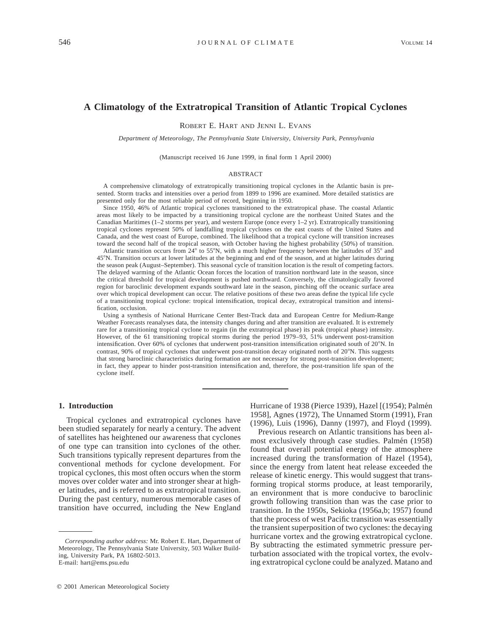# **A Climatology of the Extratropical Transition of Atlantic Tropical Cyclones**

ROBERT E. HART AND JENNI L. EVANS

*Department of Meteorology, The Pennsylvania State University, University Park, Pennsylvania*

(Manuscript received 16 June 1999, in final form 1 April 2000)

#### ABSTRACT

A comprehensive climatology of extratropically transitioning tropical cyclones in the Atlantic basin is presented. Storm tracks and intensities over a period from 1899 to 1996 are examined. More detailed statistics are presented only for the most reliable period of record, beginning in 1950.

Since 1950, 46% of Atlantic tropical cyclones transitioned to the extratropical phase. The coastal Atlantic areas most likely to be impacted by a transitioning tropical cyclone are the northeast United States and the Canadian Maritimes (1–2 storms per year), and western Europe (once every 1–2 yr). Extratropically transitioning tropical cyclones represent 50% of landfalling tropical cyclones on the east coasts of the United States and Canada, and the west coast of Europe, combined. The likelihood that a tropical cyclone will transition increases toward the second half of the tropical season, with October having the highest probability (50%) of transition.

Atlantic transition occurs from  $24^{\circ}$  to 55°N, with a much higher frequency between the latitudes of 35 $^{\circ}$  and 458N. Transition occurs at lower latitudes at the beginning and end of the season, and at higher latitudes during the season peak (August–September). This seasonal cycle of transition location is the result of competing factors. The delayed warming of the Atlantic Ocean forces the location of transition northward late in the season, since the critical threshold for tropical development is pushed northward. Conversely, the climatologically favored region for baroclinic development expands southward late in the season, pinching off the oceanic surface area over which tropical development can occur. The relative positions of these two areas define the typical life cycle of a transitioning tropical cyclone: tropical intensification, tropical decay, extratropical transition and intensification, occlusion.

Using a synthesis of National Hurricane Center Best-Track data and European Centre for Medium-Range Weather Forecasts reanalyses data, the intensity changes during and after transition are evaluated. It is extremely rare for a transitioning tropical cyclone to regain (in the extratropical phase) its peak (tropical phase) intensity. However, of the 61 transitioning tropical storms during the period 1979–93, 51% underwent post-transition intensification. Over 60% of cyclones that underwent post-transition intensification originated south of 20°N. In contrast, 90% of tropical cyclones that underwent post-transition decay originated north of 20°N. This suggests that strong baroclinic characteristics during formation are not necessary for strong post-transition development; in fact, they appear to hinder post-transition intensification and, therefore, the post-transition life span of the cyclone itself.

#### **1. Introduction**

Tropical cyclones and extratropical cyclones have been studied separately for nearly a century. The advent of satellites has heightened our awareness that cyclones of one type can transition into cyclones of the other. Such transitions typically represent departures from the conventional methods for cyclone development. For tropical cyclones, this most often occurs when the storm moves over colder water and into stronger shear at higher latitudes, and is referred to as extratropical transition. During the past century, numerous memorable cases of transition have occurred, including the New England Hurricane of 1938 (Pierce 1939), Hazel [(1954); Palmén 1958], Agnes (1972), The Unnamed Storm (1991), Fran (1996), Luis (1996), Danny (1997), and Floyd (1999).

Previous research on Atlantic transitions has been almost exclusively through case studies. Palmén (1958) found that overall potential energy of the atmosphere increased during the transformation of Hazel (1954), since the energy from latent heat release exceeded the release of kinetic energy. This would suggest that transforming tropical storms produce, at least temporarily, an environment that is more conducive to baroclinic growth following transition than was the case prior to transition. In the 1950s, Sekioka (1956a,b; 1957) found that the process of west Pacific transition was essentially the transient superposition of two cyclones: the decaying hurricane vortex and the growing extratropical cyclone. By subtracting the estimated symmetric pressure perturbation associated with the tropical vortex, the evolving extratropical cyclone could be analyzed. Matano and

*Corresponding author address:* Mr. Robert E. Hart, Department of Meteorology, The Pennsylvania State University, 503 Walker Building, University Park, PA 16802-5013. E-mail: hart@ems.psu.edu

 $Q$  2001 American Meteorological Society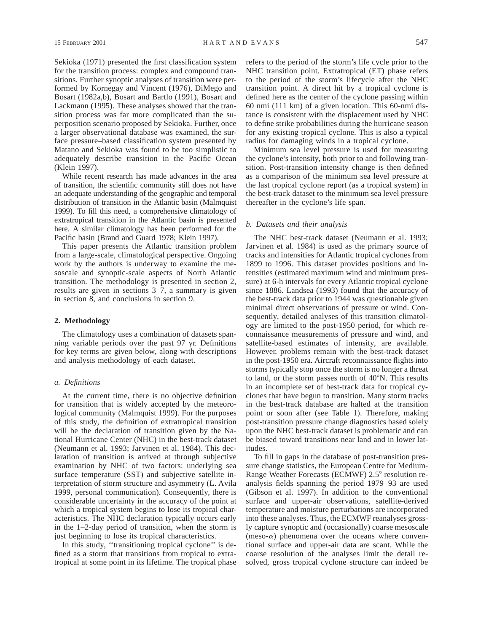Sekioka (1971) presented the first classification system for the transition process: complex and compound transitions. Further synoptic analyses of transition were performed by Kornegay and Vincent (1976), DiMego and Bosart (1982a,b), Bosart and Bartlo (1991), Bosart and Lackmann (1995). These analyses showed that the transition process was far more complicated than the superposition scenario proposed by Sekioka. Further, once a larger observational database was examined, the surface pressure–based classification system presented by Matano and Sekioka was found to be too simplistic to adequately describe transition in the Pacific Ocean (Klein 1997).

While recent research has made advances in the area of transition, the scientific community still does not have an adequate understanding of the geographic and temporal distribution of transition in the Atlantic basin (Malmquist 1999). To fill this need, a comprehensive climatology of extratropical transition in the Atlantic basin is presented here. A similar climatology has been performed for the Pacific basin (Brand and Guard 1978; Klein 1997).

This paper presents the Atlantic transition problem from a large-scale, climatological perspective. Ongoing work by the authors is underway to examine the mesoscale and synoptic-scale aspects of North Atlantic transition. The methodology is presented in section 2, results are given in sections 3–7, a summary is given in section 8, and conclusions in section 9.

### **2. Methodology**

The climatology uses a combination of datasets spanning variable periods over the past 97 yr. Definitions for key terms are given below, along with descriptions and analysis methodology of each dataset.

#### *a. Definitions*

At the current time, there is no objective definition for transition that is widely accepted by the meteorological community (Malmquist 1999). For the purposes of this study, the definition of extratropical transition will be the declaration of transition given by the National Hurricane Center (NHC) in the best-track dataset (Neumann et al. 1993; Jarvinen et al. 1984). This declaration of transition is arrived at through subjective examination by NHC of two factors: underlying sea surface temperature (SST) and subjective satellite interpretation of storm structure and asymmetry (L. Avila 1999, personal communication). Consequently, there is considerable uncertainty in the accuracy of the point at which a tropical system begins to lose its tropical characteristics. The NHC declaration typically occurs early in the 1–2-day period of transition, when the storm is just beginning to lose its tropical characteristics.

In this study, ''transitioning tropical cyclone'' is defined as a storm that transitions from tropical to extratropical at some point in its lifetime. The tropical phase refers to the period of the storm's life cycle prior to the NHC transition point. Extratropical (ET) phase refers to the period of the storm's lifecycle after the NHC transition point. A direct hit by a tropical cyclone is defined here as the center of the cyclone passing within 60 nmi (111 km) of a given location. This 60-nmi distance is consistent with the displacement used by NHC to define strike probabilities during the hurricane season for any existing tropical cyclone. This is also a typical radius for damaging winds in a tropical cyclone.

Minimum sea level pressure is used for measuring the cyclone's intensity, both prior to and following transition. Post-transition intensity change is then defined as a comparison of the minimum sea level pressure at the last tropical cyclone report (as a tropical system) in the best-track dataset to the minimum sea level pressure thereafter in the cyclone's life span.

### *b. Datasets and their analysis*

The NHC best-track dataset (Neumann et al. 1993; Jarvinen et al. 1984) is used as the primary source of tracks and intensities for Atlantic tropical cyclones from 1899 to 1996. This dataset provides positions and intensities (estimated maximum wind and minimum pressure) at 6-h intervals for every Atlantic tropical cyclone since 1886. Landsea (1993) found that the accuracy of the best-track data prior to 1944 was questionable given minimal direct observations of pressure or wind. Consequently, detailed analyses of this transition climatology are limited to the post-1950 period, for which reconnaissance measurements of pressure and wind, and satellite-based estimates of intensity, are available. However, problems remain with the best-track dataset in the post-1950 era. Aircraft reconnaissance flights into storms typically stop once the storm is no longer a threat to land, or the storm passes north of  $40^{\circ}$ N. This results in an incomplete set of best-track data for tropical cyclones that have begun to transition. Many storm tracks in the best-track database are halted at the transition point or soon after (see Table 1). Therefore, making post-transition pressure change diagnostics based solely upon the NHC best-track dataset is problematic and can be biased toward transitions near land and in lower latitudes.

To fill in gaps in the database of post-transition pressure change statistics, the European Centre for Medium-Range Weather Forecasts (ECMWF) 2.5° resolution reanalysis fields spanning the period 1979–93 are used (Gibson et al. 1997). In addition to the conventional surface and upper-air observations, satellite-derived temperature and moisture perturbations are incorporated into these analyses. Thus, the ECMWF reanalyses grossly capture synoptic and (occasionally) coarse mesoscale (meso- $\alpha$ ) phenomena over the oceans where conventional surface and upper-air data are scant. While the coarse resolution of the analyses limit the detail resolved, gross tropical cyclone structure can indeed be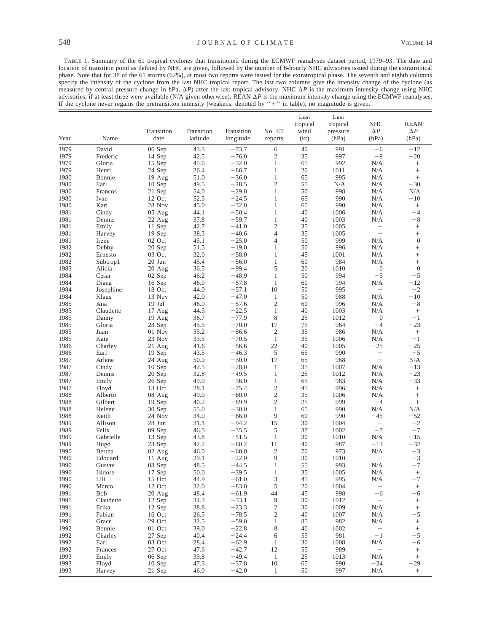TABLE 1. Summary of the 61 tropical cyclones that transitioned during the ECMWF reanalyses dataset period, 1979–93. The date and location of transition point as defined by NHC are given, followed by the number of 6-hourly NHC advisories issued during the extratropical phase. Note that for 38 of the 61 storms (62%), at most two reports were issued for the extratropical phase. The seventh and eighth columns specify the intensity of the cyclone from the last NHC tropical report. The last two columns give the intensity change of the cyclone (as measured by central pressure change in hPa,  $\Delta P$ ) after the last tropical advisory. NHC  $\Delta P$  is the maximum intensity change using NHC measured by central pressure change in hPa,  $\Delta P$ ) after the last tropical advisory. advisories, if at least three were available (N/A given otherwise). REAN  $\Delta P$  is the maximum intensity change using the ECMWF reanalyses. If the cyclone never regains the pretransition intensity (weakens, denoted by "+" in table), no magnitude is given.

|              |                    |                    |              |                    |                            | Last<br>tropical | Last<br>tropical | <b>NHC</b>               | <b>REAN</b>            |
|--------------|--------------------|--------------------|--------------|--------------------|----------------------------|------------------|------------------|--------------------------|------------------------|
|              |                    | Transition         | Transition   | Transition         | No. ET                     | wind             | pressure         | $\Delta P$               | $\Delta P$             |
| Year         | Name               | date               | latitude     | longitude          | reports                    | (kt)             | (hPa)            | (hPa)                    | (hPa)                  |
| 1979         | David              | 06 Sep             | 43.3         | $-73.7$            | 6                          | 40               | 991              | $-6$                     | $-12$                  |
| 1979         | Frederic           | 14 Sep             | 42.5         | $-76.0$            | $\mathfrak{2}$             | 35               | 997              | -9                       | $-20$                  |
| 1979         | Gloria             | 15 Sep             | 45.0         | $-32.0$            | $\mathbf{1}$               | 65               | 992              | N/A                      | $^+$                   |
| 1979         | Henri              | 24 Sep             | 26.4         | $-86.7$            | $\mathbf{1}$               | 20               | 1011             | N/A                      |                        |
| 1980<br>1980 | Bonnie             | 19 Aug             | 51.0<br>49.5 | $-36.0$<br>$-28.5$ | $\mathbf{1}$<br>$\sqrt{2}$ | 65<br>55         | 995<br>N/A       | N/A                      | $\! +$<br>$-30$        |
| 1980         | Earl<br>Francos    | 10 Sep<br>21 Sep   | 54.0         | $-29.0$            | $\mathbf{1}$               | 50               | 998              | N/A<br>N/A               | N/A                    |
| 1980         | Ivan               | 12 Oct             | 52.5         | $-24.5$            | $\mathbf{1}$               | 65               | 990              | N/A                      | $-10$                  |
| 1980         | Karl               | 28 Nov             | 45.0         | $-32.0$            | $\mathbf{1}$               | 65               | 990              | N/A                      | $\! +$                 |
| 1981         | Cindy              | $05$ Aug           | 44.1         | $-50.4$            | $\mathbf{1}$               | 40               | 1006             | N/A                      | $-4$                   |
| 1981         | Dennis             | 22 Aug             | 37.8         | $-59.7$            | $\mathbf{1}$               | 40               | 1003             | N/A                      | $-8$                   |
| 1981         | Emily              | 11 Sep             | 42.7         | $-41.0$            | $\sqrt{2}$                 | 35               | 1005             |                          | $\boldsymbol{+}$       |
| 1981         | Harvey             | 19 Sep             | 38.3         | $-40.6$            | $\overline{4}$             | 35               | 1005             |                          | $\! + \!\!\!\!$        |
| 1981         | Irene              | 02 Oct             | 45.1         | $-25.0$            | $\overline{4}$             | 50               | 999              | N/A                      | $\mathbf{0}$           |
| 1982         | Debby              | 20 Sep             | 51.5         | $-19.0$            | $\mathbf{1}$               | 50               | 996              | N/A                      | $^{+}$                 |
| 1982         | Ernesto            | 03 Oct             | 32.0         | $-58.0$            | $\mathbf{1}$               | 45               | 1001             | N/A                      | $^{+}$                 |
| 1982<br>1983 | Subtrop1<br>Alicia | 20 Jun<br>20 Aug   | 45.4         | $-56.0$<br>$-99.4$ | $\mathbf{1}$<br>5          | 60<br>20         | 984<br>1010      | N/A                      | $^{+}$<br>$\mathbf{0}$ |
| 1984         | Cesar              | 02 Sep             | 36.5<br>46.2 | $-48.9$            | $\mathbf{1}$               | 50               | 994              | $\boldsymbol{0}$<br>$-5$ | $-5$                   |
| 1984         | Diana              | 16 Sep             | 46.0         | $-57.8$            | $\mathbf{1}$               | 60               | 994              | N/A                      | $-12$                  |
| 1984         | Josephine          | 18 Oct             | 44.0         | $-57.1$            | 10                         | 50               | 995              | $\boldsymbol{+}$         | $-2$                   |
| 1984         | Klaus              | 13 Nov             | 42.0         | $-47.0$            | $\mathbf{1}$               | 50               | 988              | N/A                      | $-10$                  |
| 1985         | Ana                | $19$ Jul           | 46.0         | $-57.6$            | $\sqrt{2}$                 | 60               | 996              | N/A                      | $-8$                   |
| 1985         | Claudette          | 17 Aug             | 44.5         | $-22.5$            | $\mathbf{1}$               | 40               | 1003             | N/A                      | $\! +$                 |
| 1985         | Danny              | 19 Aug             | 36.7         | $-77.9$            | 8                          | 25               | 1012             | $\mathbf{0}$             | $-1$                   |
| 1985         | Gloria             | 28 Sep             | 45.5         | $-70.0$            | 17                         | 75               | 964              | $-4$                     | $-23$                  |
| 1985         | Juan               | 01 Nov             | 35.2         | $-86.6$            | $\mathfrak{2}$             | 35               | 986              | N/A                      | $^+$                   |
| 1985<br>1986 | Kate<br>Charley    | 23 Nov<br>21 Aug   | 33.5<br>41.6 | $-70.5$<br>$-56.6$ | $\mathbf{1}$<br>$22\,$     | 35<br>40         | 1006<br>1005     | N/A<br>$-25$             | $-1$<br>$-25$          |
| 1986         | Earl               | 19 Sep             | 43.5         | $-46.3$            | 5                          | 65               | 990              |                          | $-5$                   |
| 1987         | Arlene             | 24 Aug             | 50.0         | $-30.0$            | 17                         | 65               | 988              |                          | N/A                    |
| 1987         | Cindy              | 10 Sep             | 42.5         | $-28.0$            | $\mathbf{1}$               | 35               | 1007             | N/A                      | $-13$                  |
| 1987         | Dennis             | 20 Sep             | 32.8         | $-49.5$            | $\mathbf{1}$               | 25               | 1012             | N/A                      | $-23$                  |
| 1987         | Emily              | 26 Sep             | 49.0         | $-36.0$            | $\mathbf{1}$               | 65               | 983              | N/A                      | $-33$                  |
| 1987         | Floyd              | 13 Oct             | 28.1         | $-75.4$            | $\sqrt{2}$                 | 45               | 996              | N/A                      | $\! + \!\!\!\!$        |
| 1988         | Alberto            | 08 Aug             | 49.0         | $-60.0$            | $\overline{c}$             | 35               | 1006             | N/A                      | $\! + \!\!\!\!$        |
| 1988<br>1988 | Gilbert<br>Helene  | $19$ Sep<br>30 Sep | 40.2<br>55.0 | $-89.9$<br>$-30.0$ | $\sqrt{2}$<br>$\mathbf{1}$ | 25<br>65         | 999<br>990       | $-4$<br>N/A              | $\! +$<br>N/A          |
| 1988         | Keith              | 24 Nov             | 34.0         | $-66.0$            | 9                          | 60               | 990              | $-45$                    | $-52$                  |
| 1989         | Allison            | 28 Jun             | 31.1         | $-94.2$            | 15                         | 30               | 1004             |                          | $-2$                   |
| 1989         | Felix              | 09 Sep             | 46.5         | $-35.5$            | 5                          | 37               | 1002             | $-7$                     | $-7$                   |
| 1989         | Gabrielle          | 13 Sep             | 43.8         | $-51.5$            | $\mathbf{1}$               | 30               | 1010             | N/A                      | $-15$                  |
| 1989         | Hugo               | 23 Sep             | 42.2         | $-80.2$            | 11                         | 40               | 987              | $-13$                    | $-32$                  |
| 1990         | Bertha             | 02 Aug             | 46.0         | $-60.0$            | $\mathfrak{2}$             | 70               | 973              | N/A                      | $-3$                   |
| 1990         | Edouard            | 11 Aug             | 39.1         | $-22.0$            | 9                          | 30               | 1010             | $^{+}$                   | $-3$                   |
| 1990         | Gustav             | 03 Sep             | 48.5         | $-44.5$<br>$-39.5$ | $\mathbf{1}$               | 55               | 993<br>1005      | N/A                      | $-7$                   |
| 1990<br>1990 | Isidore<br>Lili    | 17 Sep<br>15 Oct   | 50.0<br>44.9 | $-61.0$            | 1<br>3                     | 35<br>45         | 995              | N/A<br>N/A               | $^{+}$<br>$-7$         |
| 1990         | Marco              | 12 Oct             | 32.0         | $-83.0$            | 5                          | 20               | 1004             | $\boldsymbol{+}$         | $^+$                   |
| 1991         | Bob                | 20 Aug             | 48.4         | $-61.9$            | 44                         | 45               | 998              | $-6$                     | $-6$                   |
| 1991         | Claudette          | 12 Sep             | 34.3         | $-33.1$            | $\boldsymbol{9}$           | 30               | 1012             | $\boldsymbol{+}$         | $\boldsymbol{+}$       |
| 1991         | Erika              | 12 Sep             | 38.8         | $-23.3$            | $\sqrt{2}$                 | 30               | 1009             | N/A                      | $^+$                   |
| 1991         | Fabian             | 16 Oct             | 26.5         | $-78.5$            | $\sqrt{2}$                 | 40               | 1007             | N/A                      | $-5$                   |
| 1991         | Grace              | 29 Oct             | 32.5         | $-59.0$            | $\mathbf{1}$               | 85               | 982              | N/A                      | $^+$                   |
| 1992         | Bonnie             | 01 Oct             | 39.0         | $-22.8$            | 8                          | 40               | 1002             | $\! + \!\!\!\!$          | $\! + \!\!\!\!$        |
| 1992<br>1992 | Charley<br>Earl    | 27 Sep<br>03 Oct   | 40.4<br>28.4 | $-24.4$<br>$-62.9$ | 6<br>$\mathbf{1}$          | 55<br>30         | 981<br>1008      | $-1$<br>N/A              | $-5$<br>$-6$           |
| 1992         | Frances            | 27 Oct             | 47.6         | $-42.7$            | 12                         | 55               | 989              | $\boldsymbol{+}$         | $^+$                   |
| 1993         | Emily              | 06 Sep             | 39.8         | $-49.4$            | $\mathbf{1}$               | 25               | 1013             | $\rm N/A$                | $^+$                   |
| 1993         | Floyd              | 10 Sep             | 47.3         | $-37.8$            | 10                         | 65               | 990              | $-24$                    | $-29$                  |
| 1993         | Harvey             | 21 Sep             | 46.0         | $-42.0$            | $\mathbf{1}$               | 50               | 997              | N/A                      | $\! + \!\!\!\!$        |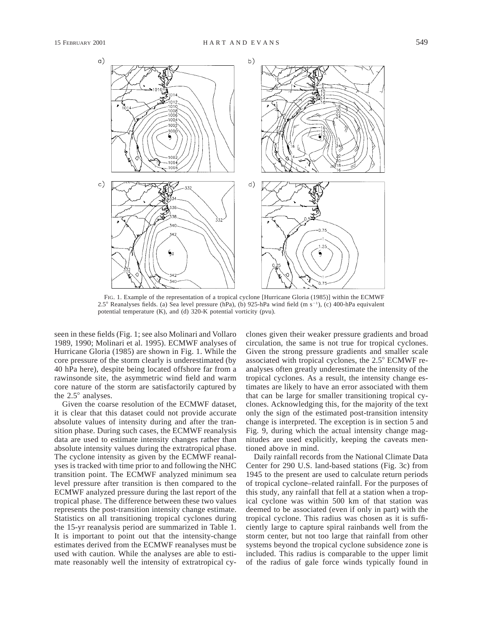

FIG. 1. Example of the representation of a tropical cyclone [Hurricane Gloria (1985)] within the ECMWF 2.5° Reanalyses fields. (a) Sea level pressure (hPa), (b) 925-hPa wind field (m s<sup>-1</sup>), (c) 400-hPa equivalent potential temperature (K), and (d) 320-K potential vorticity (pvu).

seen in these fields (Fig. 1; see also Molinari and Vollaro 1989, 1990; Molinari et al. 1995). ECMWF analyses of Hurricane Gloria (1985) are shown in Fig. 1. While the core pressure of the storm clearly is underestimated (by 40 hPa here), despite being located offshore far from a rawinsonde site, the asymmetric wind field and warm core nature of the storm are satisfactorily captured by the  $2.5^{\circ}$  analyses.

Given the coarse resolution of the ECMWF dataset, it is clear that this dataset could not provide accurate absolute values of intensity during and after the transition phase. During such cases, the ECMWF reanalysis data are used to estimate intensity changes rather than absolute intensity values during the extratropical phase. The cyclone intensity as given by the ECMWF reanalyses is tracked with time prior to and following the NHC transition point. The ECMWF analyzed minimum sea level pressure after transition is then compared to the ECMWF analyzed pressure during the last report of the tropical phase. The difference between these two values represents the post-transition intensity change estimate. Statistics on all transitioning tropical cyclones during the 15-yr reanalysis period are summarized in Table 1. It is important to point out that the intensity-change estimates derived from the ECMWF reanalyses must be used with caution. While the analyses are able to estimate reasonably well the intensity of extratropical cyclones given their weaker pressure gradients and broad circulation, the same is not true for tropical cyclones. Given the strong pressure gradients and smaller scale associated with tropical cyclones, the  $2.5^{\circ}$  ECMWF reanalyses often greatly underestimate the intensity of the tropical cyclones. As a result, the intensity change estimates are likely to have an error associated with them that can be large for smaller transitioning tropical cyclones. Acknowledging this, for the majority of the text only the sign of the estimated post-transition intensity change is interpreted. The exception is in section 5 and Fig. 9, during which the actual intensity change magnitudes are used explicitly, keeping the caveats mentioned above in mind.

Daily rainfall records from the National Climate Data Center for 290 U.S. land-based stations (Fig. 3c) from 1945 to the present are used to calculate return periods of tropical cyclone–related rainfall. For the purposes of this study, any rainfall that fell at a station when a tropical cyclone was within 500 km of that station was deemed to be associated (even if only in part) with the tropical cyclone. This radius was chosen as it is sufficiently large to capture spiral rainbands well from the storm center, but not too large that rainfall from other systems beyond the tropical cyclone subsidence zone is included. This radius is comparable to the upper limit of the radius of gale force winds typically found in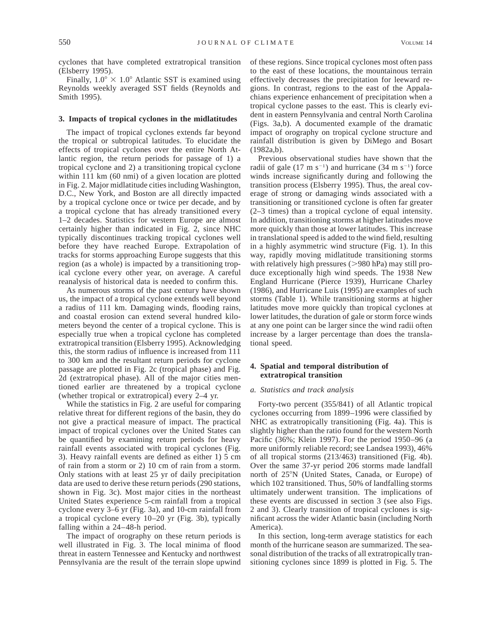cyclones that have completed extratropical transition (Elsberry 1995).

Finally,  $1.0^{\circ} \times 1.0^{\circ}$  Atlantic SST is examined using Reynolds weekly averaged SST fields (Reynolds and Smith 1995).

### **3. Impacts of tropical cyclones in the midlatitudes**

The impact of tropical cyclones extends far beyond the tropical or subtropical latitudes. To elucidate the effects of tropical cyclones over the entire North Atlantic region, the return periods for passage of 1) a tropical cyclone and 2) a transitioning tropical cyclone within 111 km (60 nmi) of a given location are plotted in Fig. 2. Major midlatitude cities including Washington, D.C., New York, and Boston are all directly impacted by a tropical cyclone once or twice per decade, and by a tropical cyclone that has already transitioned every 1–2 decades. Statistics for western Europe are almost certainly higher than indicated in Fig. 2, since NHC typically discontinues tracking tropical cyclones well before they have reached Europe. Extrapolation of tracks for storms approaching Europe suggests that this region (as a whole) is impacted by a transitioning tropical cyclone every other year, on average. A careful reanalysis of historical data is needed to confirm this.

As numerous storms of the past century have shown us, the impact of a tropical cyclone extends well beyond a radius of 111 km. Damaging winds, flooding rains, and coastal erosion can extend several hundred kilometers beyond the center of a tropical cyclone. This is especially true when a tropical cyclone has completed extratropical transition (Elsberry 1995). Acknowledging this, the storm radius of influence is increased from 111 to 300 km and the resultant return periods for cyclone passage are plotted in Fig. 2c (tropical phase) and Fig. 2d (extratropical phase). All of the major cities mentioned earlier are threatened by a tropical cyclone (whether tropical or extratropical) every 2–4 yr.

While the statistics in Fig. 2 are useful for comparing relative threat for different regions of the basin, they do not give a practical measure of impact. The practical impact of tropical cyclones over the United States can be quantified by examining return periods for heavy rainfall events associated with tropical cyclones (Fig. 3). Heavy rainfall events are defined as either 1) 5 cm of rain from a storm or 2) 10 cm of rain from a storm. Only stations with at least 25 yr of daily precipitation data are used to derive these return periods (290 stations, shown in Fig. 3c). Most major cities in the northeast United States experience 5-cm rainfall from a tropical cyclone every 3–6 yr (Fig. 3a), and 10-cm rainfall from a tropical cyclone every 10–20 yr (Fig. 3b), typically falling within a 24–48-h period.

The impact of orography on these return periods is well illustrated in Fig. 3. The local minima of flood threat in eastern Tennessee and Kentucky and northwest Pennsylvania are the result of the terrain slope upwind of these regions. Since tropical cyclones most often pass to the east of these locations, the mountainous terrain effectively decreases the precipitation for leeward regions. In contrast, regions to the east of the Appalachians experience enhancement of precipitation when a tropical cyclone passes to the east. This is clearly evident in eastern Pennsylvania and central North Carolina (Figs. 3a,b). A documented example of the dramatic impact of orography on tropical cyclone structure and rainfall distribution is given by DiMego and Bosart (1982a,b).

Previous observational studies have shown that the radii of gale  $(17 \text{ m s}^{-1})$  and hurricane  $(34 \text{ m s}^{-1})$  force winds increase significantly during and following the transition process (Elsberry 1995). Thus, the areal coverage of strong or damaging winds associated with a transitioning or transitioned cyclone is often far greater (2–3 times) than a tropical cyclone of equal intensity. In addition, transitioning storms at higher latitudes move more quickly than those at lower latitudes. This increase in translational speed is added to the wind field, resulting in a highly asymmetric wind structure (Fig. 1). In this way, rapidly moving midlatitude transitioning storms with relatively high pressures  $(>\!980$  hPa) may still produce exceptionally high wind speeds. The 1938 New England Hurricane (Pierce 1939), Hurricane Charley (1986), and Hurricane Luis (1995) are examples of such storms (Table 1). While transitioning storms at higher latitudes move more quickly than tropical cyclones at lower latitudes, the duration of gale or storm force winds at any one point can be larger since the wind radii often increase by a larger percentage than does the translational speed.

# **4. Spatial and temporal distribution of extratropical transition**

### *a. Statistics and track analysis*

Forty-two percent (355/841) of all Atlantic tropical cyclones occurring from 1899–1996 were classified by NHC as extratropically transitioning (Fig. 4a). This is slightly higher than the ratio found for the western North Pacific (36%; Klein 1997). For the period 1950–96 (a more uniformly reliable record; see Landsea 1993), 46% of all tropical storms (213/463) transitioned (Fig. 4b). Over the same 37-yr period 206 storms made landfall north of 25°N (United States, Canada, or Europe) of which 102 transitioned. Thus, 50% of landfalling storms ultimately underwent transition. The implications of these events are discussed in section 3 (see also Figs. 2 and 3). Clearly transition of tropical cyclones is significant across the wider Atlantic basin (including North America).

In this section, long-term average statistics for each month of the hurricane season are summarized. The seasonal distribution of the tracks of all extratropically transitioning cyclones since 1899 is plotted in Fig. 5. The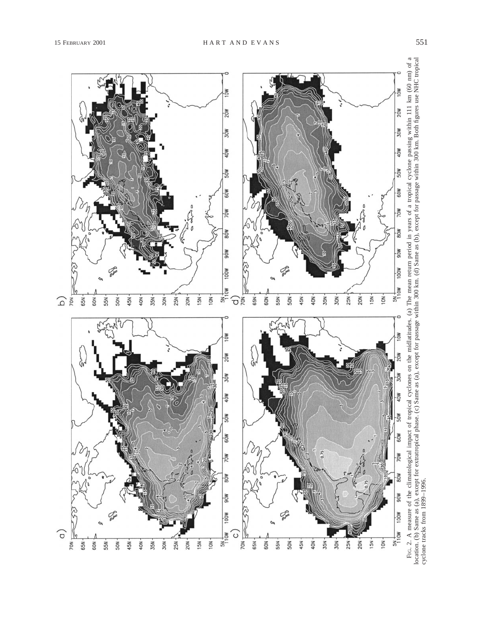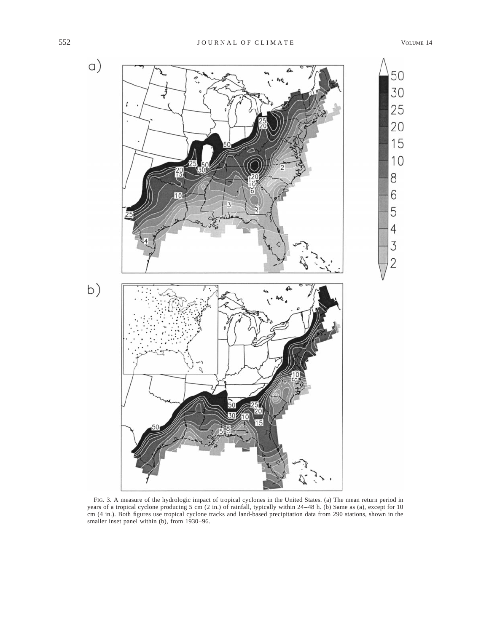

FIG. 3. A measure of the hydrologic impact of tropical cyclones in the United States. (a) The mean return period in years of a tropical cyclone producing 5 cm (2 in.) of rainfall, typically within 24–48 h. (b) Same as (a), except for 10 cm (4 in.). Both figures use tropical cyclone tracks and land-based precipitation data from 290 stations, shown in the smaller inset panel within (b), from 1930–96.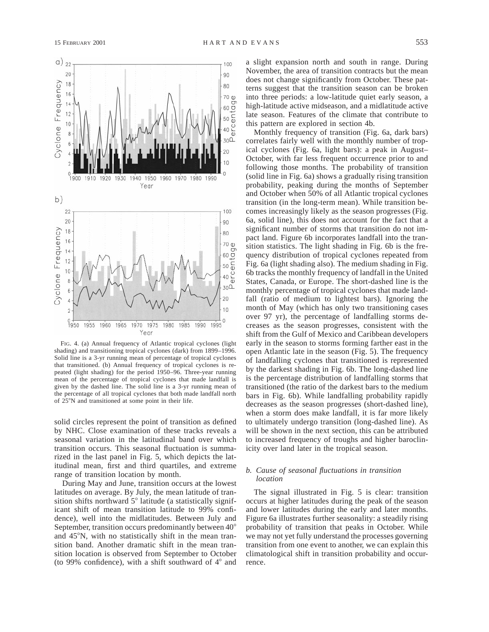

FIG. 4. (a) Annual frequency of Atlantic tropical cyclones (light shading) and transitioning tropical cyclones (dark) from 1899–1996. Solid line is a 3-yr running mean of percentage of tropical cyclones that transitioned. (b) Annual frequency of tropical cyclones is repeated (light shading) for the period 1950–96. Three-year running mean of the percentage of tropical cyclones that made landfall is given by the dashed line. The solid line is a 3-yr running mean of the percentage of all tropical cyclones that both made landfall north of 25°N and transitioned at some point in their life.

solid circles represent the point of transition as defined by NHC. Close examination of these tracks reveals a seasonal variation in the latitudinal band over which transition occurs. This seasonal fluctuation is summarized in the last panel in Fig. 5, which depicts the latitudinal mean, first and third quartiles, and extreme range of transition location by month.

During May and June, transition occurs at the lowest latitudes on average. By July, the mean latitude of transition shifts northward  $5^\circ$  latitude (a statistically significant shift of mean transition latitude to 99% confidence), well into the midlatitudes. Between July and September, transition occurs predominantly between 40° and 45°N, with no statistically shift in the mean transition band. Another dramatic shift in the mean transition location is observed from September to October (to 99% confidence), with a shift southward of  $4^\circ$  and

a slight expansion north and south in range. During November, the area of transition contracts but the mean does not change significantly from October. These patterns suggest that the transition season can be broken into three periods: a low-latitude quiet early season, a high-latitude active midseason, and a midlatitude active late season. Features of the climate that contribute to this pattern are explored in section 4b.

Monthly frequency of transition (Fig. 6a, dark bars) correlates fairly well with the monthly number of tropical cyclones (Fig. 6a, light bars): a peak in August– October, with far less frequent occurrence prior to and following those months. The probability of transition (solid line in Fig. 6a) shows a gradually rising transition probability, peaking during the months of September and October when 50% of all Atlantic tropical cyclones transition (in the long-term mean). While transition becomes increasingly likely as the season progresses (Fig. 6a, solid line), this does not account for the fact that a significant number of storms that transition do not impact land. Figure 6b incorporates landfall into the transition statistics. The light shading in Fig. 6b is the frequency distribution of tropical cyclones repeated from Fig. 6a (light shading also). The medium shading in Fig. 6b tracks the monthly frequency of landfall in the United States, Canada, or Europe. The short-dashed line is the monthly percentage of tropical cyclones that made landfall (ratio of medium to lightest bars). Ignoring the month of May (which has only two transitioning cases over 97 yr), the percentage of landfalling storms decreases as the season progresses, consistent with the shift from the Gulf of Mexico and Caribbean developers early in the season to storms forming farther east in the open Atlantic late in the season (Fig. 5). The frequency of landfalling cyclones that transitioned is represented by the darkest shading in Fig. 6b. The long-dashed line is the percentage distribution of landfalling storms that transitioned (the ratio of the darkest bars to the medium bars in Fig. 6b). While landfalling probability rapidly decreases as the season progresses (short-dashed line), when a storm does make landfall, it is far more likely to ultimately undergo transition (long-dashed line). As will be shown in the next section, this can be attributed to increased frequency of troughs and higher baroclinicity over land later in the tropical season.

# *b. Cause of seasonal fluctuations in transition location*

The signal illustrated in Fig. 5 is clear: transition occurs at higher latitudes during the peak of the season and lower latitudes during the early and later months. Figure 6a illustrates further seasonality: a steadily rising probability of transition that peaks in October. While we may not yet fully understand the processes governing transition from one event to another, we can explain this climatological shift in transition probability and occurrence.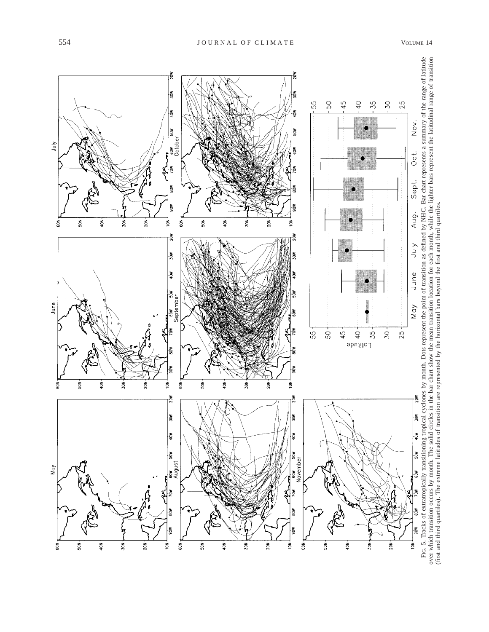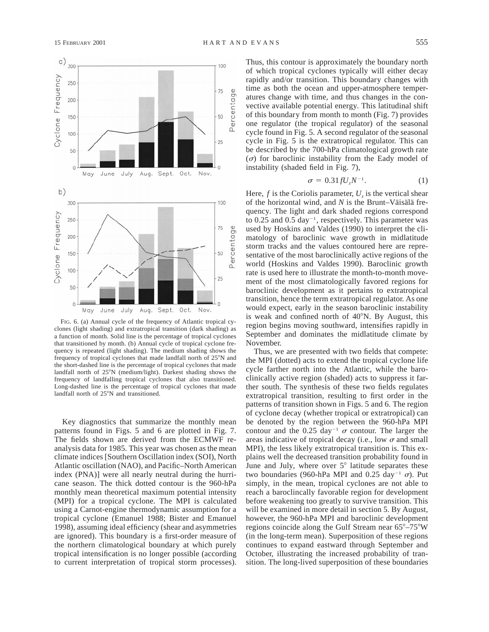

FIG. 6. (a) Annual cycle of the frequency of Atlantic tropical cyclones (light shading) and extratropical transition (dark shading) as a function of month. Solid line is the percentage of tropical cyclones that transitioned by month. (b) Annual cycle of tropical cyclone frequency is repeated (light shading). The medium shading shows the frequency of tropical cyclones that made landfall north of  $25^\circ$ N and the short-dashed line is the percentage of tropical cyclones that made landfall north of 25°N (medium/light). Darkest shading shows the frequency of landfalling tropical cyclones that also transitioned. Long-dashed line is the percentage of tropical cyclones that made landfall north of 25°N and transitioned.

Key diagnostics that summarize the monthly mean patterns found in Figs. 5 and 6 are plotted in Fig. 7. The fields shown are derived from the ECMWF reanalysis data for 1985. This year was chosen as the mean climate indices [Southern Oscillation index (SOI), North Atlantic oscillation (NAO), and Pacific–North American index (PNA)] were all nearly neutral during the hurricane season. The thick dotted contour is the 960-hPa monthly mean theoretical maximum potential intensity (MPI) for a tropical cyclone. The MPI is calculated using a Carnot-engine thermodynamic assumption for a tropical cyclone (Emanuel 1988; Bister and Emanuel 1998), assuming ideal efficiency (shear and asymmetries are ignored). This boundary is a first-order measure of the northern climatological boundary at which purely tropical intensification is no longer possible (according to current interpretation of tropical storm processes). Thus, this contour is approximately the boundary north of which tropical cyclones typically will either decay rapidly and/or transition. This boundary changes with time as both the ocean and upper-atmosphere temperatures change with time, and thus changes in the convective available potential energy. This latitudinal shift of this boundary from month to month (Fig. 7) provides one regulator (the tropical regulator) of the seasonal cycle found in Fig. 5. A second regulator of the seasonal cycle in Fig. 5 is the extratropical regulator. This can be described by the 700-hPa climatological growth rate  $(\sigma)$  for baroclinic instability from the Eady model of instability (shaded field in Fig. 7),

$$
\sigma = 0.31 f U_z N^{-1}.
$$
 (1)

Here,  $f$  is the Coriolis parameter,  $U<sub>z</sub>$  is the vertical shear of the horizontal wind, and  $N$  is the Brunt–Väisälä frequency. The light and dark shaded regions correspond to 0.25 and 0.5 day<sup> $-1$ </sup>, respectively. This parameter was used by Hoskins and Valdes (1990) to interpret the climatology of baroclinic wave growth in midlatitude storm tracks and the values contoured here are representative of the most baroclinically active regions of the world (Hoskins and Valdes 1990). Baroclinic growth rate is used here to illustrate the month-to-month movement of the most climatologically favored regions for baroclinic development as it pertains to extratropical transition, hence the term extratropical regulator. As one would expect, early in the season baroclinic instability is weak and confined north of  $40^{\circ}$ N. By August, this region begins moving southward, intensifies rapidly in September and dominates the midlatitude climate by November.

Thus, we are presented with two fields that compete: the MPI (dotted) acts to extend the tropical cyclone life cycle farther north into the Atlantic, while the baroclinically active region (shaded) acts to suppress it farther south. The synthesis of these two fields regulates extratropical transition, resulting to first order in the patterns of transition shown in Figs. 5 and 6. The region of cyclone decay (whether tropical or extratropical) can be denoted by the region between the 960-hPa MPI contour and the 0.25 day<sup>-1</sup>  $\sigma$  contour. The larger the areas indicative of tropical decay (i.e., low  $\sigma$  and small MPI), the less likely extratropical transition is. This explains well the decreased transition probability found in June and July, where over  $5^\circ$  latitude separates these two boundaries (960-hPa MPI and 0.25 day<sup>-1</sup>  $\sigma$ ). Put simply, in the mean, tropical cyclones are not able to reach a baroclincally favorable region for development before weakening too greatly to survive transition. This will be examined in more detail in section 5. By August, however, the 960-hPa MPI and baroclinic development regions coincide along the Gulf Stream near  $65^{\circ} - 75^{\circ}W$ (in the long-term mean). Superposition of these regions continues to expand eastward through September and October, illustrating the increased probability of transition. The long-lived superposition of these boundaries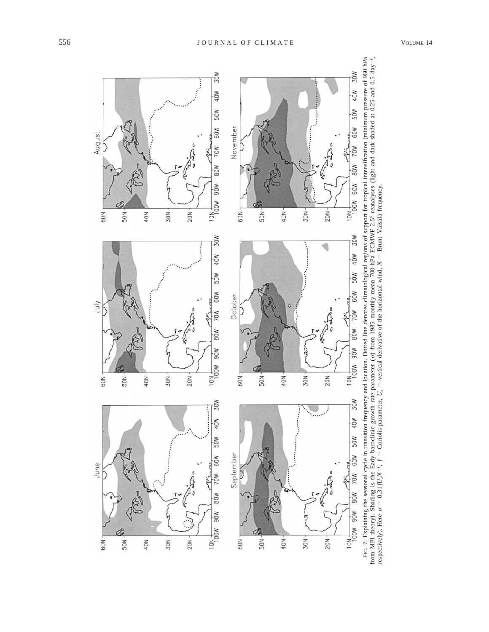

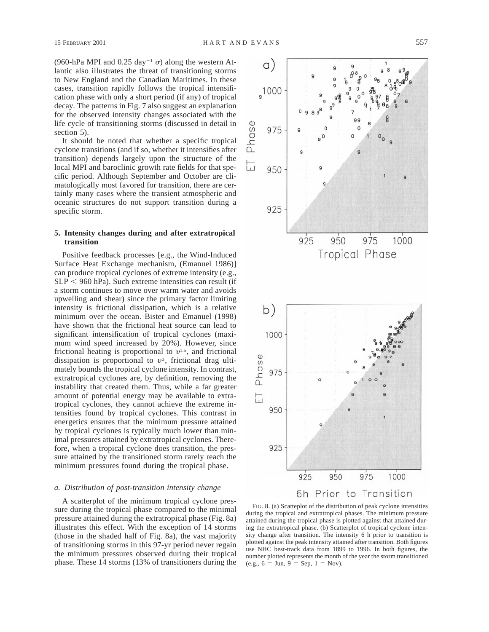(960-hPa MPI and 0.25 day<sup>-1</sup>  $\sigma$ ) along the western Atlantic also illustrates the threat of transitioning storms to New England and the Canadian Maritimes. In these cases, transition rapidly follows the tropical intensification phase with only a short period (if any) of tropical decay. The patterns in Fig. 7 also suggest an explanation for the observed intensity changes associated with the life cycle of transitioning storms (discussed in detail in section 5).

It should be noted that whether a specific tropical cyclone transitions (and if so, whether it intensifies after transition) depends largely upon the structure of the local MPI and baroclinic growth rate fields for that specific period. Although September and October are climatologically most favored for transition, there are certainly many cases where the transient atmospheric and oceanic structures do not support transition during a specific storm.

### **5. Intensity changes during and after extratropical transition**

Positive feedback processes [e.g., the Wind-Induced Surface Heat Exchange mechanism, (Emanuel 1986)] can produce tropical cyclones of extreme intensity (e.g.,  $SLP < 960$  hPa). Such extreme intensities can result (if a storm continues to move over warm water and avoids upwelling and shear) since the primary factor limiting intensity is frictional dissipation, which is a relative minimum over the ocean. Bister and Emanuel (1998) have shown that the frictional heat source can lead to significant intensification of tropical cyclones (maximum wind speed increased by 20%). However, since frictional heating is proportional to  $v^{1.5}$ , and frictional dissipation is proportional to  $v^3$ , frictional drag ultimately bounds the tropical cyclone intensity. In contrast, extratropical cyclones are, by definition, removing the instability that created them. Thus, while a far greater amount of potential energy may be available to extratropical cyclones, they cannot achieve the extreme intensities found by tropical cyclones. This contrast in energetics ensures that the minimum pressure attained by tropical cyclones is typically much lower than minimal pressures attained by extratropical cyclones. Therefore, when a tropical cyclone does transition, the pressure attained by the transitioned storm rarely reach the minimum pressures found during the tropical phase.

### *a. Distribution of post-transition intensity change*

A scatterplot of the minimum tropical cyclone pressure during the tropical phase compared to the minimal pressure attained during the extratropical phase (Fig. 8a) illustrates this effect. With the exception of 14 storms (those in the shaded half of Fig. 8a), the vast majority of transitioning storms in this 97-yr period never regain the minimum pressures observed during their tropical phase. These 14 storms (13% of transitioners during the



FIG. 8. (a) Scatteplot of the distribution of peak cyclone intensities during the tropical and extratropical phases. The minimum pressure attained during the tropical phase is plotted against that attained during the extratropical phase. (b) Scatterplot of tropical cyclone intensity change after transition. The intensity 6 h prior to transition is plotted against the peak intensity attained after transition. Both figures use NHC best-track data from 1899 to 1996. In both figures, the number plotted represents the month of the year the storm transitioned (e.g.,  $6 = \text{Jun}$ ,  $9 = \text{Sep}$ ,  $1 = \text{Nov}$ ).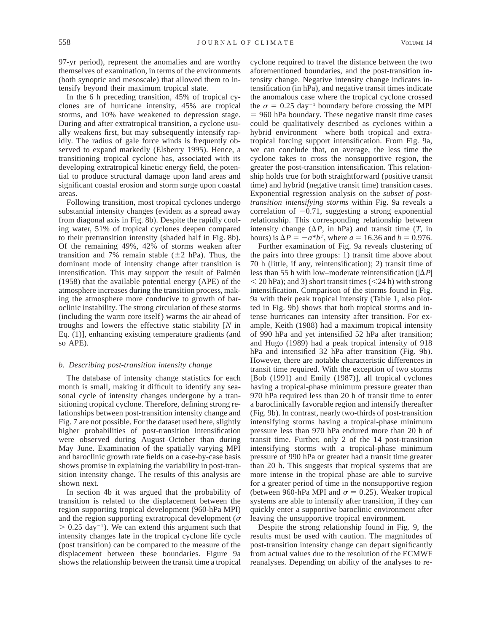97-yr period), represent the anomalies and are worthy themselves of examination, in terms of the environments (both synoptic and mesoscale) that allowed them to intensify beyond their maximum tropical state.

In the 6 h preceding transition, 45% of tropical cyclones are of hurricane intensity, 45% are tropical storms, and 10% have weakened to depression stage. During and after extratropical transition, a cyclone usually weakens first, but may subsequently intensify rapidly. The radius of gale force winds is frequently observed to expand markedly (Elsberry 1995). Hence, a transitioning tropical cyclone has, associated with its developing extratropical kinetic energy field, the potential to produce structural damage upon land areas and significant coastal erosion and storm surge upon coastal areas.

Following transition, most tropical cyclones undergo substantial intensity changes (evident as a spread away from diagonal axis in Fig. 8b). Despite the rapidly cooling water, 51% of tropical cyclones deepen compared to their pretransition intensity (shaded half in Fig. 8b). Of the remaining 49%, 42% of storms weaken after transition and 7% remain stable  $(\pm 2 \text{ hPa})$ . Thus, the dominant mode of intensity change after transition is intensification. This may support the result of Palmén (1958) that the available potential energy (APE) of the atmosphere increases during the transition process, making the atmosphere more conducive to growth of baroclinic instability. The strong circulation of these storms (including the warm core itself) warms the air ahead of troughs and lowers the effective static stability [*N* in Eq. (1)], enhancing existing temperature gradients (and so APE).

## *b. Describing post-transition intensity change*

The database of intensity change statistics for each month is small, making it difficult to identify any seasonal cycle of intensity changes undergone by a transitioning tropical cyclone. Therefore, defining strong relationships between post-transition intensity change and Fig. 7 are not possible. For the dataset used here, slightly higher probabilities of post-transition intensification were observed during August–October than during May–June. Examination of the spatially varying MPI and baroclinic growth rate fields on a case-by-case basis shows promise in explaining the variability in post-transition intensity change. The results of this analysis are shown next.

In section 4b it was argued that the probability of transition is related to the displacement between the region supporting tropical development (960-hPa MPI) and the region supporting extratropical development ( $\sigma$  $> 0.25 \text{ day}^{-1}$ ). We can extend this argument such that intensity changes late in the tropical cyclone life cycle (post transition) can be compared to the measure of the displacement between these boundaries. Figure 9a shows the relationship between the transit time a tropical cyclone required to travel the distance between the two aforementioned boundaries, and the post-transition intensity change. Negative intensity change indicates intensification (in hPa), and negative transit times indicate the anomalous case where the tropical cyclone crossed the  $\sigma = 0.25$  day<sup>-1</sup> boundary before crossing the MPI  $= 960$  hPa boundary. These negative transit time cases could be qualitatively described as cyclones within a hybrid environment—where both tropical and extratropical forcing support intensification. From Fig. 9a, we can conclude that, on average, the less time the cyclone takes to cross the nonsupportive region, the greater the post-transition intensification. This relationship holds true for both straightforward (positive transit time) and hybrid (negative transit time) transition cases. Exponential regression analysis on the *subset of posttransition intensifying storms* within Fig. 9a reveals a correlation of  $-0.71$ , suggesting a strong exponential relationship. This corresponding relationship between intensity change  $(\Delta P)$ , in hPa) and transit time  $(T)$ , in hours) is  $\Delta P = -a^*b^T$ , where  $a = 16.36$  and  $b = 0.976$ .

Further examination of Fig. 9a reveals clustering of the pairs into three groups: 1) transit time above about 70 h (little, if any, reintensification); 2) transit time of less than 55 h with low–moderate reintensification ( $|\Delta P|$ )  $<$  20 hPa); and 3) short transit times ( $<$  24 h) with strong intensification. Comparison of the storms found in Fig. 9a with their peak tropical intensity (Table 1, also plotted in Fig. 9b) shows that both tropical storms and intense hurricanes can intensity after transition. For example, Keith (1988) had a maximum tropical intensity of 990 hPa and yet intensified 52 hPa after transition; and Hugo (1989) had a peak tropical intensity of 918 hPa and intensified 32 hPa after transition (Fig. 9b). However, there are notable characteristic differences in transit time required. With the exception of two storms [Bob (1991) and Emily (1987)], all tropical cyclones having a tropical-phase minimum pressure greater than 970 hPa required less than 20 h of transit time to enter a baroclinically favorable region and intensify thereafter (Fig. 9b). In contrast, nearly two-thirds of post-transition intensifying storms having a tropical-phase minimum pressure less than 970 hPa endured more than 20 h of transit time. Further, only 2 of the 14 post-transition intensifying storms with a tropical-phase minimum pressure of 990 hPa or greater had a transit time greater than 20 h. This suggests that tropical systems that are more intense in the tropical phase are able to survive for a greater period of time in the nonsupportive region (between 960-hPa MPI and  $\sigma = 0.25$ ). Weaker tropical systems are able to intensify after transition, if they can quickly enter a supportive baroclinic environment after leaving the unsupportive tropical environment.

Despite the strong relationship found in Fig. 9, the results must be used with caution. The magnitudes of post-transition intensity change can depart significantly from actual values due to the resolution of the ECMWF reanalyses. Depending on ability of the analyses to re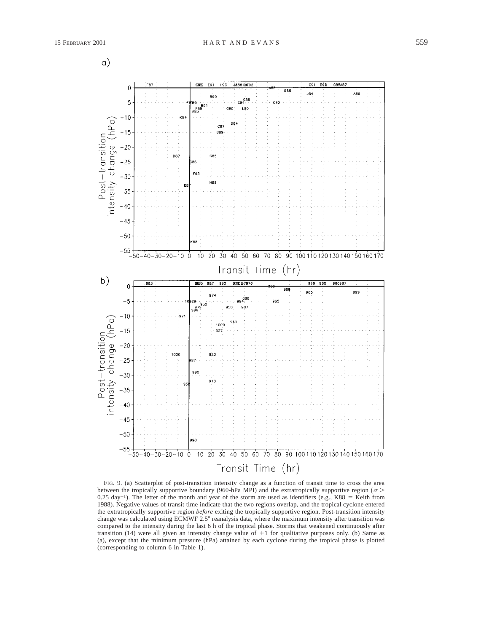$\alpha$ )



FIG. 9. (a) Scatterplot of post-transition intensity change as a function of transit time to cross the area between the tropically supportive boundary (960-hPa MPI) and the extratropically supportive region ( $\sigma$  > 0.25 day<sup>-1</sup>). The letter of the month and year of the storm are used as identifiers (e.g., K88 = Keith from 1988). Negative values of transit time indicate that the two regions overlap, and the tropical cyclone entered the extratropically supportive region *before* exiting the tropically supportive region. Post-transition intensity change was calculated using ECMWF 2.5° reanalysis data, where the maximum intensity after transition was compared to the intensity during the last 6 h of the tropical phase. Storms that weakened continuously after transition (14) were all given an intensity change value of  $+1$  for qualitative purposes only. (b) Same as (a), except that the minimum pressure (hPa) attained by each cyclone during the tropical phase is plotted (corresponding to column 6 in Table 1).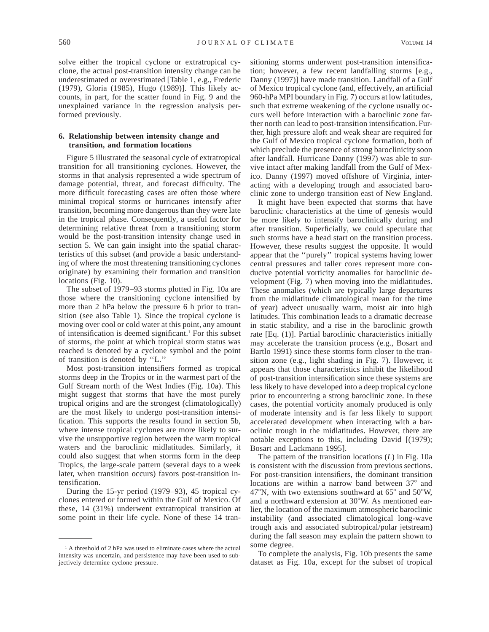solve either the tropical cyclone or extratropical cyclone, the actual post-transition intensity change can be underestimated or overestimated [Table 1, e.g., Frederic (1979), Gloria (1985), Hugo (1989)]. This likely accounts, in part, for the scatter found in Fig. 9 and the unexplained variance in the regression analysis performed previously.

### **6. Relationship between intensity change and transition, and formation locations**

Figure 5 illustrated the seasonal cycle of extratropical transition for all transitioning cyclones. However, the storms in that analysis represented a wide spectrum of damage potential, threat, and forecast difficulty. The more difficult forecasting cases are often those where minimal tropical storms or hurricanes intensify after transition, becoming more dangerous than they were late in the tropical phase. Consequently, a useful factor for determining relative threat from a transitioning storm would be the post-transition intensity change used in section 5. We can gain insight into the spatial characteristics of this subset (and provide a basic understanding of where the most threatening transitioning cyclones originate) by examining their formation and transition locations (Fig. 10).

The subset of 1979–93 storms plotted in Fig. 10a are those where the transitioning cyclone intensified by more than 2 hPa below the pressure 6 h prior to transition (see also Table 1). Since the tropical cyclone is moving over cool or cold water at this point, any amount of intensification is deemed significant.1 For this subset of storms, the point at which tropical storm status was reached is denoted by a cyclone symbol and the point of transition is denoted by ''L.''

Most post-transition intensifiers formed as tropical storms deep in the Tropics or in the warmest part of the Gulf Stream north of the West Indies (Fig. 10a). This might suggest that storms that have the most purely tropical origins and are the strongest (climatologically) are the most likely to undergo post-transition intensification. This supports the results found in section 5b, where intense tropical cyclones are more likely to survive the unsupportive region between the warm tropical waters and the baroclinic midlatitudes. Similarly, it could also suggest that when storms form in the deep Tropics, the large-scale pattern (several days to a week later, when transition occurs) favors post-transition intensification.

During the 15-yr period (1979–93), 45 tropical cyclones entered or formed within the Gulf of Mexico. Of these, 14 (31%) underwent extratropical transition at some point in their life cycle. None of these 14 transitioning storms underwent post-transition intensification; however, a few recent landfalling storms [e.g., Danny (1997)] have made transition. Landfall of a Gulf of Mexico tropical cyclone (and, effectively, an artificial 960-hPa MPI boundary in Fig. 7) occurs at low latitudes, such that extreme weakening of the cyclone usually occurs well before interaction with a baroclinic zone farther north can lead to post-transition intensification. Further, high pressure aloft and weak shear are required for the Gulf of Mexico tropical cyclone formation, both of which preclude the presence of strong baroclinicity soon after landfall. Hurricane Danny (1997) was able to survive intact after making landfall from the Gulf of Mexico. Danny (1997) moved offshore of Virginia, interacting with a developing trough and associated baroclinic zone to undergo transition east of New England.

It might have been expected that storms that have baroclinic characteristics at the time of genesis would be more likely to intensify baroclinically during and after transition. Superficially, we could speculate that such storms have a head start on the transition process. However, these results suggest the opposite. It would appear that the ''purely'' tropical systems having lower central pressures and taller cores represent more conducive potential vorticity anomalies for baroclinic development (Fig. 7) when moving into the midlatitudes. These anomalies (which are typically large departures from the midlatitude climatological mean for the time of year) advect unusually warm, moist air into high latitudes. This combination leads to a dramatic decrease in static stability, and a rise in the baroclinic growth rate [Eq. (1)]. Partial baroclinic characteristics initially may accelerate the transition process (e.g., Bosart and Bartlo 1991) since these storms form closer to the transition zone (e.g., light shading in Fig. 7). However, it appears that those characteristics inhibit the likelihood of post-transition intensification since these systems are less likely to have developed into a deep tropical cyclone prior to encountering a strong baroclinic zone. In these cases, the potential vorticity anomaly produced is only of moderate intensity and is far less likely to support accelerated development when interacting with a baroclinic trough in the midlatitudes. However, there are notable exceptions to this, including David [(1979); Bosart and Lackmann 1995].

The pattern of the transition locations (*L*) in Fig. 10a is consistent with the discussion from previous sections. For post-transition intensifiers, the dominant transition locations are within a narrow band between 37° and 47°N, with two extensions southward at  $65^{\circ}$  and  $50^{\circ}$ W, and a northward extension at 30°W. As mentioned earlier, the location of the maximum atmospheric baroclinic instability (and associated climatological long-wave trough axis and associated subtropical/polar jetstream) during the fall season may explain the pattern shown to some degree.

To complete the analysis, Fig. 10b presents the same dataset as Fig. 10a, except for the subset of tropical

<sup>1</sup> A threshold of 2 hPa was used to eliminate cases where the actual intensity was uncertain, and persistence may have been used to subjectively determine cyclone pressure.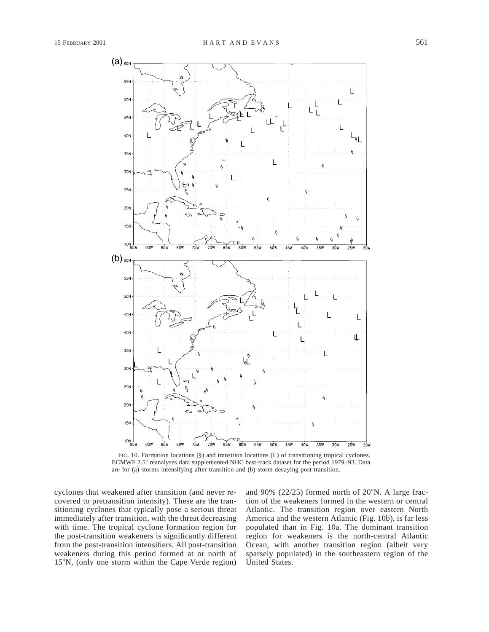

FIG. 10. Formation locations (§) and transition locations (L) of transitioning tropical cyclones. ECMWF 2.5° reanalyses data supplemented NHC best-track dataset for the period 1979–93. Data are for (a) storms intensifying after transition and (b) storm decaying post-transition.

cyclones that weakened after transition (and never recovered to pretransition intensity). These are the transitioning cyclones that typically pose a serious threat immediately after transition, with the threat decreasing with time. The tropical cyclone formation region for the post-transition weakeners is significantly different from the post-transition intensifiers. All post-transition weakeners during this period formed at or north of 15°N, (only one storm within the Cape Verde region)

and 90% (22/25) formed north of  $20^{\circ}$ N. A large fraction of the weakeners formed in the western or central Atlantic. The transition region over eastern North America and the western Atlantic (Fig. 10b), is far less populated than in Fig. 10a. The dominant transition region for weakeners is the north-central Atlantic Ocean, with another transition region (albeit very sparsely populated) in the southeastern region of the United States.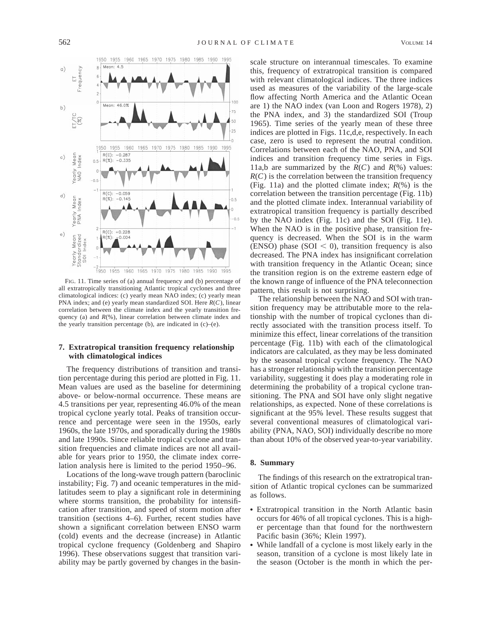

FIG. 11. Time series of (a) annual frequency and (b) percentage of all extratropically transitioning Atlantic tropical cyclones and three climatological indices: (c) yearly mean NAO index; (c) yearly mean PNA index; and (e) yearly mean standardized SOI. Here *R*(*C*), linear correlation between the climate index and the yearly transition frequency (a) and  $R$ (%), linear correlation between climate index and the yearly transition percentage (b), are indicated in (c)–(e).

### **7. Extratropical transition frequency relationship with climatological indices**

The frequency distributions of transition and transition percentage during this period are plotted in Fig. 11. Mean values are used as the baseline for determining above- or below-normal occurrence. These means are 4.5 transitions per year, representing 46.0% of the mean tropical cyclone yearly total. Peaks of transition occurrence and percentage were seen in the 1950s, early 1960s, the late 1970s, and sporadically during the 1980s and late 1990s. Since reliable tropical cyclone and transition frequencies and climate indices are not all available for years prior to 1950, the climate index correlation analysis here is limited to the period 1950–96.

Locations of the long-wave trough pattern (baroclinic instability; Fig. 7) and oceanic temperatures in the midlatitudes seem to play a significant role in determining where storms transition, the probability for intensification after transition, and speed of storm motion after transition (sections 4–6). Further, recent studies have shown a significant correlation between ENSO warm (cold) events and the decrease (increase) in Atlantic tropical cyclone frequency (Goldenberg and Shapiro 1996). These observations suggest that transition variability may be partly governed by changes in the basinscale structure on interannual timescales. To examine this, frequency of extratropical transition is compared with relevant climatological indices. The three indices used as measures of the variability of the large-scale flow affecting North America and the Atlantic Ocean are 1) the NAO index (van Loon and Rogers 1978), 2) the PNA index, and 3) the standardized SOI (Troup 1965). Time series of the yearly mean of these three indices are plotted in Figs. 11c,d,e, respectively. In each case, zero is used to represent the neutral condition. Correlations between each of the NAO, PNA, and SOI indices and transition frequency time series in Figs. 11a,b are summarized by the  $R(C)$  and  $R(\%)$  values:  $R(C)$  is the correlation between the transition frequency (Fig. 11a) and the plotted climate index; *R*(%) is the correlation between the transition percentage (Fig. 11b) and the plotted climate index. Interannual variability of extratropical transition frequency is partially described by the NAO index (Fig. 11c) and the SOI (Fig. 11e). When the NAO is in the positive phase, transition frequency is decreased. When the SOI is in the warm (ENSO) phase (SOI  $<$  0), transition frequency is also decreased. The PNA index has insignificant correlation with transition frequency in the Atlantic Ocean; since the transition region is on the extreme eastern edge of the known range of influence of the PNA teleconnection pattern, this result is not surprising.

The relationship between the NAO and SOI with transition frequency may be attributable more to the relationship with the number of tropical cyclones than directly associated with the transition process itself. To minimize this effect, linear correlations of the transition percentage (Fig. 11b) with each of the climatological indicators are calculated, as they may be less dominated by the seasonal tropical cyclone frequency. The NAO has a stronger relationship with the transition percentage variability, suggesting it does play a moderating role in determining the probability of a tropical cyclone transitioning. The PNA and SOI have only slight negative relationships, as expected. None of these correlations is significant at the 95% level. These results suggest that several conventional measures of climatological variability (PNA, NAO, SOI) individually describe no more than about 10% of the observed year-to-year variability.

#### **8. Summary**

The findings of this research on the extratropical transition of Atlantic tropical cyclones can be summarized as follows.

- Extratropical transition in the North Atlantic basin occurs for 46% of all tropical cyclones. This is a higher percentage than that found for the northwestern Pacific basin (36%; Klein 1997).
- While landfall of a cyclone is most likely early in the season, transition of a cyclone is most likely late in the season (October is the month in which the per-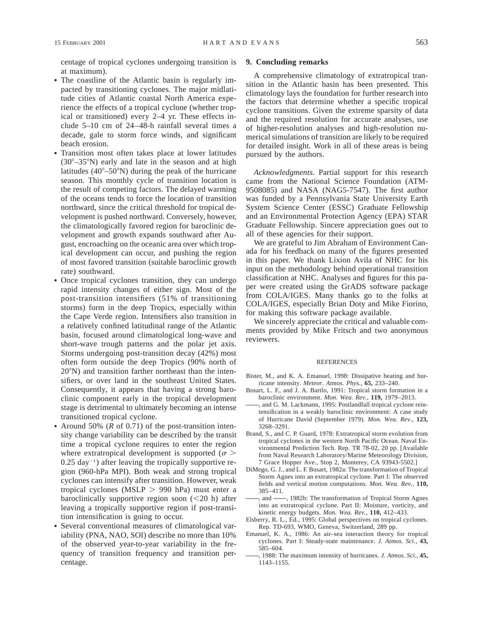centage of tropical cyclones undergoing transition is at maximum).

- The coastline of the Atlantic basin is regularly impacted by transitioning cyclones. The major midlatitude cities of Atlantic coastal North America experience the effects of a tropical cyclone (whether tropical or transitioned) every 2–4 yr. These effects include 5–10 cm of 24–48-h rainfall several times a decade, gale to storm force winds, and significant beach erosion.
- Transition most often takes place at lower latitudes  $(30^{\circ}-35^{\circ}N)$  early and late in the season and at high latitudes ( $40^{\circ}$ –50°N) during the peak of the hurricane season. This monthly cycle of transition location is the result of competing factors. The delayed warming of the oceans tends to force the location of transition northward, since the critical threshold for tropical development is pushed northward. Conversely, however, the climatologically favored region for baroclinic development and growth expands southward after August, encroaching on the oceanic area over which tropical development can occur, and pushing the region of most favored transition (suitable baroclinic growth rate) southward.
- Once tropical cyclones transition, they can undergo rapid intensity changes of either sign. Most of the post-transition intensifiers (51% of transitioning storms) form in the deep Tropics, especially within the Cape Verde region. Intensifiers also transition in a relatively confined latitudinal range of the Atlantic basin, focused around climatological long-wave and short-wave trough patterns and the polar jet axis. Storms undergoing post-transition decay (42%) most often form outside the deep Tropics (90% north of  $20^{\circ}$ N) and transition farther northeast than the intensifiers, or over land in the southeast United States. Consequently, it appears that having a strong baroclinic component early in the tropical development stage is detrimental to ultimately becoming an intense transitioned tropical cyclone.
- Around 50% ( $R$  of 0.71) of the post-transition intensity change variability can be described by the transit time a tropical cyclone requires to enter the region where extratropical development is supported ( $\sigma$  >  $0.25 \text{ day}^{-1}$ ) after leaving the tropically supportive region (960-hPa MPI). Both weak and strong tropical cyclones can intensify after transition. However, weak tropical cyclones (MSLP  $> 990$  hPa) must enter a baroclinically supportive region soon  $(<20$  h) after leaving a tropically supportive region if post-transition intensification is going to occur.
- Several conventional measures of climatological variability (PNA, NAO, SOI) describe no more than 10% of the observed year-to-year variability in the frequency of transition frequency and transition percentage.

### **9. Concluding remarks**

A comprehensive climatology of extratropical transition in the Atlantic basin has been presented. This climatology lays the foundation for further research into the factors that determine whether a specific tropical cyclone transitions. Given the extreme sparsity of data and the required resolution for accurate analyses, use of higher-resolution analyses and high-resolution numerical simulations of transition are likely to be required for detailed insight. Work in all of these areas is being pursued by the authors.

*Acknowledgments.* Partial support for this research came from the National Science Foundation (ATM-9508085) and NASA (NAG5-7547). The first author was funded by a Pennsylvania State University Earth System Science Center (ESSC) Graduate Fellowship and an Environmental Protection Agency (EPA) STAR Graduate Fellowship. Sincere appreciation goes out to all of these agencies for their support.

We are grateful to Jim Abraham of Environment Canada for his feedback on many of the figures presented in this paper. We thank Lixion Avila of NHC for his input on the methodology behind operational transition classification at NHC. Analyses and figures for this paper were created using the GrADS software package from COLA/IGES. Many thanks go to the folks at COLA/IGES, especially Brian Doty and Mike Fiorino, for making this software package available.

We sincerely appreciate the critical and valuable comments provided by Mike Fritsch and two anonymous reviewers.

#### REFERENCES

- Bister, M., and K. A. Emanuel, 1998: Dissipative heating and hurricane intensity. *Meteor. Atmos. Phys.,* **65,** 233–240.
- Bosart, L. F., and J. A. Bartlo, 1991: Tropical storm formation in a baroclinic environment. *Mon. Wea. Rev.,* **119,** 1979–2013.
- , and G. M. Lackmann, 1995: Postlandfall tropical cyclone reintensification in a weakly baroclinic environment: A case study of Hurricane David (September 1979). *Mon. Wea. Rev.,* **123,** 3268–3291.
- Brand, S., and C. P. Guard, 1978: Extratropical storm evolution from tropical cyclones in the western North Pacific Ocean. Naval Environmental Prediction Tech. Rep. TR 78-02, 20 pp. [Available from Naval Research Laboratory/Marine Meteorology Division, 7 Grace Hopper Ave., Stop 2, Monterey, CA 93943-5502.]
- DiMego, G. J., and L. F. Bosart, 1982a: The transformation of Tropical Storm Agnes into an extratropical cyclone. Part I: The observed fields and vertical motion computations. *Mon. Wea. Rev.,* **110,** 385–411.
- , and  $\frac{1}{982b}$ : The transformation of Tropical Storm Agnes into an extratropical cyclone. Part II: Moisture, vorticity, and kinetic energy budgets. *Mon. Wea. Rev.,* **110,** 412–433.
- Elsberry, R. L., Ed., 1995: Global perspectives on tropical cyclones. Rep. TD-693, WMO, Geneva, Switzerland, 289 pp.
- Emanuel, K. A., 1986: An air–sea interaction theory for tropical cyclones. Part I: Steady-state maintenance. *J. Atmos. Sci.,* **43,** 585–604.
- , 1988: The maximum intensity of hurricanes. *J. Atmos. Sci.,* **45,** 1143–1155.